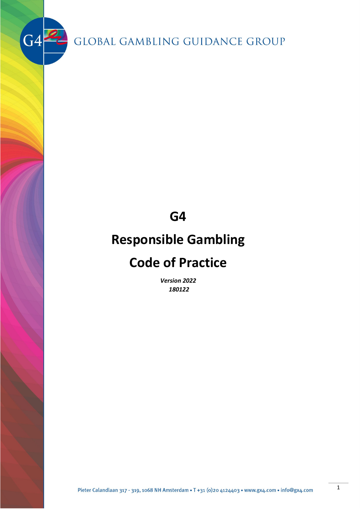$G4$ 

**G4**

# **Responsible Gambling**

# **Code of Practice**

*Version 2022 180122*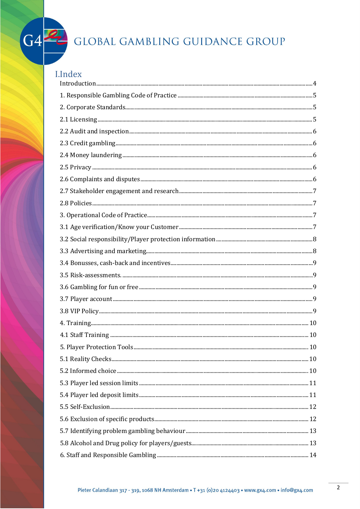

## **I.Index**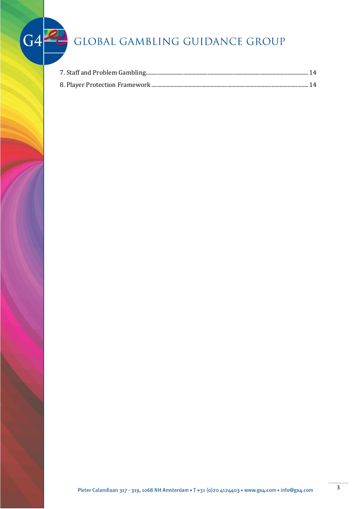$G4$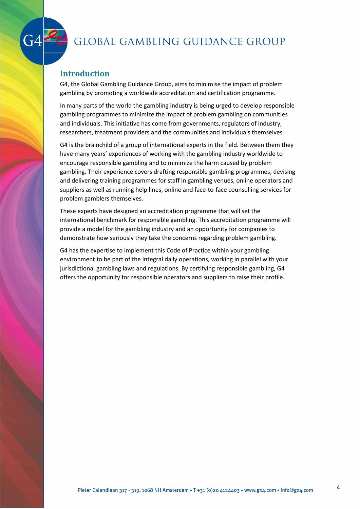

### <span id="page-3-0"></span>**Introduction**

G4, the Global Gambling Guidance Group, aims to minimise the impact of problem gambling by promoting a worldwide accreditation and certification programme.

In many parts of the world the gambling industry is being urged to develop responsible gambling programmes to minimize the impact of problem gambling on communities and individuals. This initiative has come from governments, regulators of industry, researchers, treatment providers and the communities and individuals themselves.

G4 is the brainchild of a group of international experts in the field. Between them they have many years' experiences of working with the gambling industry worldwide to encourage responsible gambling and to minimize the harm caused by problem gambling. Their experience covers drafting responsible gambling programmes, devising and delivering training programmes for staff in gambling venues, online operators and suppliers as well as running help lines, online and face-to-face counselling services for problem gamblers themselves.

These experts have designed an accreditation programme that will set the international benchmark for responsible gambling. This accreditation programme will provide a model for the gambling industry and an opportunity for companies to demonstrate how seriously they take the concerns regarding problem gambling.

G4 has the expertise to implement this Code of Practice within your gambling environment to be part of the integral daily operations, working in parallel with your jurisdictional gambling laws and regulations. By certifying responsible gambling, G4 offers the opportunity for responsible operators and suppliers to raise their profile.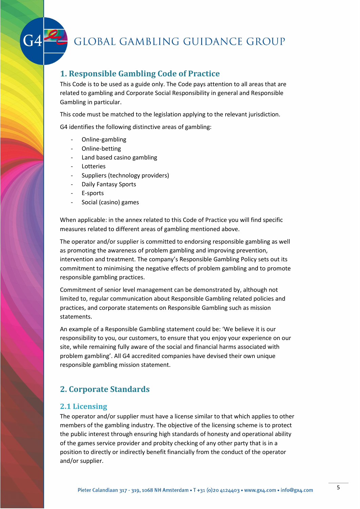### <span id="page-4-0"></span>**1. Responsible Gambling Code of Practice**

This Code is to be used as a guide only. The Code pays attention to all areas that are related to gambling and Corporate Social Responsibility in general and Responsible Gambling in particular.

This code must be matched to the legislation applying to the relevant jurisdiction.

G4 identifies the following distinctive areas of gambling:

- Online-gambling
- Online-betting
- Land based casino gambling
- **Lotteries**
- Suppliers (technology providers)
- Daily Fantasy Sports
- E-sports
- Social (casino) games

When applicable: in the annex related to this Code of Practice you will find specific measures related to different areas of gambling mentioned above.

The operator and/or supplier is committed to endorsing responsible gambling as well as promoting the awareness of problem gambling and improving prevention, intervention and treatment. The company's Responsible Gambling Policy sets out its commitment to minimising the negative effects of problem gambling and to promote responsible gambling practices.

Commitment of senior level management can be demonstrated by, although not limited to, regular communication about Responsible Gambling related policies and practices, and corporate statements on Responsible Gambling such as mission statements.

An example of a Responsible Gambling statement could be: 'We believe it is our responsibility to you, our customers, to ensure that you enjoy your experience on our site, while remaining fully aware of the social and financial harms associated with problem gambling'. All G4 accredited companies have devised their own unique responsible gambling mission statement.

## <span id="page-4-1"></span>**2. Corporate Standards**

#### <span id="page-4-2"></span>**2.1 Licensing**

The operator and/or supplier must have a license similar to that which applies to other members of the gambling industry. The objective of the licensing scheme is to protect the public interest through ensuring high standards of honesty and operational ability of the games service provider and probity checking of any other party that is in a position to directly or indirectly benefit financially from the conduct of the operator and/or supplier.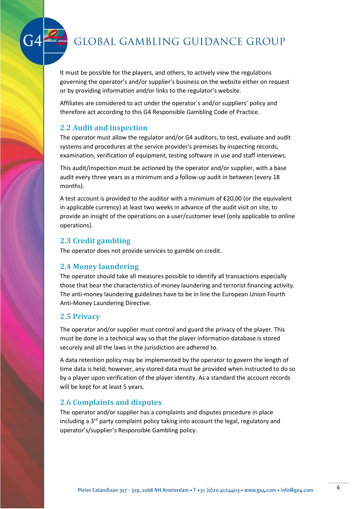It must be possible for the players, and others, to actively view the regulations governing the operator's and/or supplier's business on the website either on request or by providing information and/or links to the regulator's website.

Affiliates are considered to act under the operator`s and/or suppliers' policy and therefore act according to this G4 Responsible Gambling Code of Practice.

#### <span id="page-5-0"></span>**2.2 Audit and inspection**

The operator must allow the regulator and/or G4 auditors, to test, evaluate and audit systems and procedures at the service provider's premises by inspecting records, examination, verification of equipment, testing software in use and staff interviews.

This audit/inspection must be actioned by the operator and/or supplier, with a base audit every three years as a minimum and a follow-up audit in between (every 18 months).

A test account is provided to the auditor with a minimum of  $\epsilon$ 20,00 (or the equivalent in applicable currency) at least two weeks in advance of the audit visit on site, to provide an insight of the operations on a user/customer level (only applicable to online operations).

### <span id="page-5-1"></span>**2.3 Credit gambling**

The operator does not provide services to gamble on credit.

### <span id="page-5-2"></span>**2.4 Money laundering**

The operator should take all measures possible to identify all transactions especially those that bear the characteristics of money laundering and terrorist financing activity. The anti-money laundering guidelines have to be in line the European Union Fourth Anti-Money Laundering Directive.

### <span id="page-5-3"></span>**2.5 Privacy**

The operator and/or supplier must control and guard the privacy of the player. This must be done in a technical way so that the player information database is stored securely and all the laws in the jurisdiction are adhered to.

A data retention policy may be implemented by the operator to govern the length of time data is held; however, any stored data must be provided when instructed to do so by a player upon verification of the player identity. As a standard the account records will be kept for at least 5 years.

### <span id="page-5-4"></span>**2.6 Complaints and disputes**

The operator and/or supplier has a complaints and disputes procedure in place including a  $3<sup>rd</sup>$  party complaint policy taking into account the legal, regulatory and operator's/supplier's Responsible Gambling policy.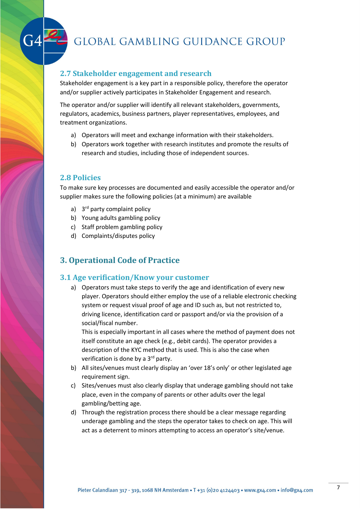#### <span id="page-6-0"></span>**2.7 Stakeholder engagement and research**

Stakeholder engagement is a key part in a responsible policy, therefore the operator and/or supplier actively participates in Stakeholder Engagement and research.

The operator and/or supplier will identify all relevant stakeholders, governments, regulators, academics, business partners, player representatives, employees, and treatment organizations.

- a) Operators will meet and exchange information with their stakeholders.
- b) Operators work together with research institutes and promote the results of research and studies, including those of independent sources.

#### <span id="page-6-1"></span>**2.8 Policies**

To make sure key processes are documented and easily accessible the operator and/or supplier makes sure the following policies (at a minimum) are available

- a) 3<sup>rd</sup> party complaint policy
- b) Young adults gambling policy
- c) Staff problem gambling policy
- d) Complaints/disputes policy

#### <span id="page-6-2"></span>**3. Operational Code of Practice**

#### <span id="page-6-3"></span>**3.1 Age verification/Know your customer**

a) Operators must take steps to verify the age and identification of every new player. Operators should either employ the use of a reliable electronic checking system or request visual proof of age and ID such as, but not restricted to, driving licence, identification card or passport and/or via the provision of a social/fiscal number.

This is especially important in all cases where the method of payment does not itself constitute an age check (e.g., debit cards). The operator provides a description of the KYC method that is used. This is also the case when verification is done by a 3<sup>rd</sup> party.

- b) All sites/venues must clearly display an 'over 18's only' or other legislated age requirement sign.
- c) Sites/venues must also clearly display that underage gambling should not take place, even in the company of parents or other adults over the legal gambling/betting age.
- d) Through the registration process there should be a clear message regarding underage gambling and the steps the operator takes to check on age. This will act as a deterrent to minors attempting to access an operator's site/venue.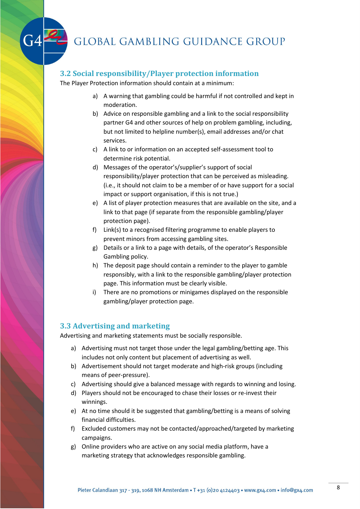#### <span id="page-7-0"></span>**3.2 Social responsibility/Player protection information**

The Player Protection information should contain at a minimum:

- a) A warning that gambling could be harmful if not controlled and kept in moderation.
- b) Advice on responsible gambling and a link to the social responsibility partner G4 and other sources of help on problem gambling, including, but not limited to helpline number(s), email addresses and/or chat services.
- c) A link to or information on an accepted self-assessment tool to determine risk potential.
- d) Messages of the operator's/supplier's support of social responsibility/player protection that can be perceived as misleading. (i.e., it should not claim to be a member of or have support for a social impact or support organisation, if this is not true.)
- e) A list of player protection measures that are available on the site, and a link to that page (if separate from the responsible gambling/player protection page).
- f) Link(s) to a recognised filtering programme to enable players to prevent minors from accessing gambling sites.
- g) Details or a link to a page with details, of the operator's Responsible Gambling policy.
- h) The deposit page should contain a reminder to the player to gamble responsibly, with a link to the responsible gambling/player protection page. This information must be clearly visible.
- i) There are no promotions or minigames displayed on the responsible gambling/player protection page.

#### <span id="page-7-1"></span>**3.3 Advertising and marketing**

Advertising and marketing statements must be socially responsible.

- a) Advertising must not target those under the legal gambling/betting age. This includes not only content but placement of advertising as well.
- b) Advertisement should not target moderate and high-risk groups (including means of peer-pressure).
- c) Advertising should give a balanced message with regards to winning and losing.
- d) Players should not be encouraged to chase their losses or re-invest their winnings.
- e) At no time should it be suggested that gambling/betting is a means of solving financial difficulties.
- f) Excluded customers may not be contacted/approached/targeted by marketing campaigns.
- g) Online providers who are active on any social media platform, have a marketing strategy that acknowledges responsible gambling.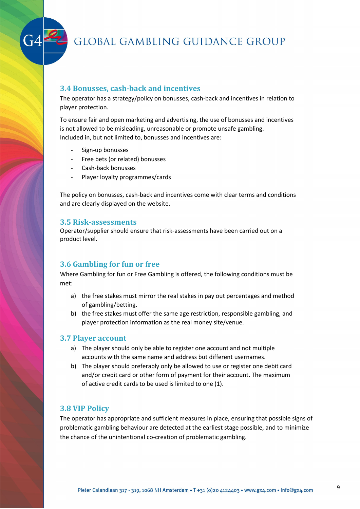

#### <span id="page-8-0"></span>**3.4 Bonusses, cash-back and incentives**

The operator has a strategy/policy on bonusses, cash-back and incentives in relation to player protection.

To ensure fair and open marketing and advertising, the use of bonusses and incentives is not allowed to be misleading, unreasonable or promote unsafe gambling. Included in, but not limited to, bonusses and incentives are:

- Sign-up bonusses
- Free bets (or related) bonusses
- Cash-back bonusses
- Player loyalty programmes/cards

The policy on bonusses, cash-back and incentives come with clear terms and conditions and are clearly displayed on the website.

#### <span id="page-8-1"></span>**3.5 Risk-assessments**

Operator/supplier should ensure that risk-assessments have been carried out on a product level.

#### <span id="page-8-2"></span>**3.6 Gambling for fun or free**

Where Gambling for fun or Free Gambling is offered, the following conditions must be met:

- a) the free stakes must mirror the real stakes in pay out percentages and method of gambling/betting.
- b) the free stakes must offer the same age restriction, responsible gambling, and player protection information as the real money site/venue.

#### <span id="page-8-3"></span>**3.7 Player account**

- a) The player should only be able to register one account and not multiple accounts with the same name and address but different usernames.
- b) The player should preferably only be allowed to use or register one debit card and/or credit card or other form of payment for their account. The maximum of active credit cards to be used is limited to one (1).

#### <span id="page-8-4"></span>**3.8 VIP Policy**

The operator has appropriate and sufficient measures in place, ensuring that possible signs of problematic gambling behaviour are detected at the earliest stage possible, and to minimize the chance of the unintentional co-creation of problematic gambling.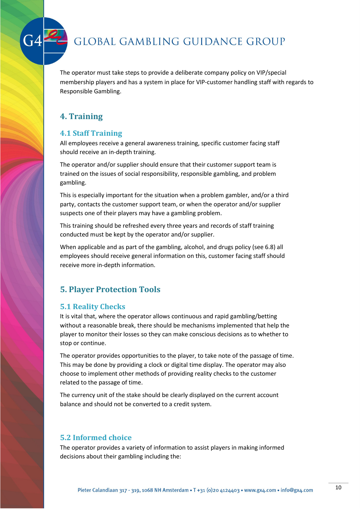

The operator must take steps to provide a deliberate company policy on VIP/special membership players and has a system in place for VIP-customer handling staff with regards to Responsible Gambling.

## <span id="page-9-0"></span>**4. Training**

### <span id="page-9-1"></span>**4.1 Staff Training**

All employees receive a general awareness training, specific customer facing staff should receive an in-depth training.

The operator and/or supplier should ensure that their customer support team is trained on the issues of social responsibility, responsible gambling, and problem gambling.

This is especially important for the situation when a problem gambler, and/or a third party, contacts the customer support team, or when the operator and/or supplier suspects one of their players may have a gambling problem.

This training should be refreshed every three years and records of staff training conducted must be kept by the operator and/or supplier.

When applicable and as part of the gambling, alcohol, and drugs policy (see 6.8) all employees should receive general information on this, customer facing staff should receive more in-depth information.

## <span id="page-9-2"></span>**5. Player Protection Tools**

## <span id="page-9-3"></span>**5.1 Reality Checks**

It is vital that, where the operator allows continuous and rapid gambling/betting without a reasonable break, there should be mechanisms implemented that help the player to monitor their losses so they can make conscious decisions as to whether to stop or continue.

The operator provides opportunities to the player, to take note of the passage of time. This may be done by providing a clock or digital time display. The operator may also choose to implement other methods of providing reality checks to the customer related to the passage of time.

The currency unit of the stake should be clearly displayed on the current account balance and should not be converted to a credit system.

### <span id="page-9-4"></span>**5.2 Informed choice**

The operator provides a variety of information to assist players in making informed decisions about their gambling including the: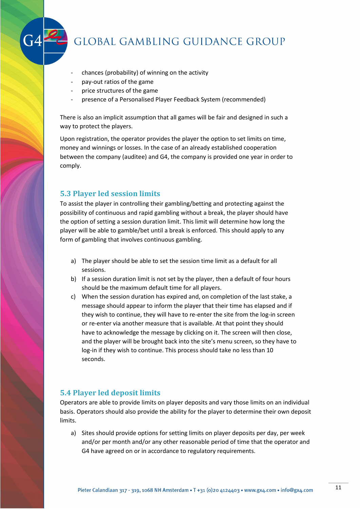

- chances (probability) of winning on the activity
- pay-out ratios of the game
- price structures of the game
- presence of a Personalised Player Feedback System (recommended)

There is also an implicit assumption that all games will be fair and designed in such a way to protect the players.

Upon registration, the operator provides the player the option to set limits on time, money and winnings or losses. In the case of an already established cooperation between the company (auditee) and G4, the company is provided one year in order to comply.

#### <span id="page-10-0"></span>**5.3 Player led session limits**

To assist the player in controlling their gambling/betting and protecting against the possibility of continuous and rapid gambling without a break, the player should have the option of setting a session duration limit. This limit will determine how long the player will be able to gamble/bet until a break is enforced. This should apply to any form of gambling that involves continuous gambling.

- a) The player should be able to set the session time limit as a default for all sessions.
- b) If a session duration limit is not set by the player, then a default of four hours should be the maximum default time for all players.
- c) When the session duration has expired and, on completion of the last stake, a message should appear to inform the player that their time has elapsed and if they wish to continue, they will have to re-enter the site from the log-in screen or re-enter via another measure that is available. At that point they should have to acknowledge the message by clicking on it. The screen will then close, and the player will be brought back into the site's menu screen, so they have to log-in if they wish to continue. This process should take no less than 10 seconds.

#### <span id="page-10-1"></span>**5.4 Player led deposit limits**

Operators are able to provide limits on player deposits and vary those limits on an individual basis. Operators should also provide the ability for the player to determine their own deposit limits.

a) Sites should provide options for setting limits on player deposits per day, per week and/or per month and/or any other reasonable period of time that the operator and G4 have agreed on or in accordance to regulatory requirements.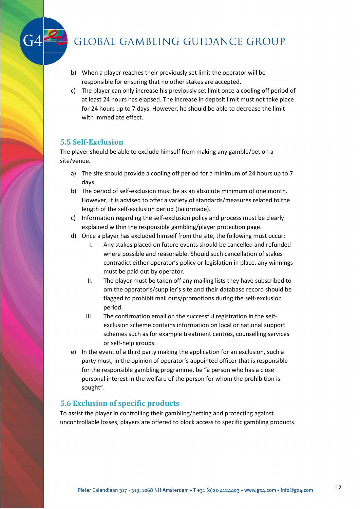- b) When a player reaches their previously set limit the operator will be responsible for ensuring that no other stakes are accepted.
- c) The player can only increase his previously set limit once a cooling off period of at least 24 hours has elapsed. The increase in deposit limit must not take place for 24 hours up to 7 days. However, he should be able to decrease the limit with immediate effect.

#### <span id="page-11-0"></span>**5.5 Self-Exclusion**

The player should be able to exclude himself from making any gamble/bet on a site/venue.

- a) The site should provide a cooling off period for a minimum of 24 hours up to 7 days.
- b) The period of self-exclusion must be as an absolute minimum of one month. However, it is advised to offer a variety of standards/measures related to the length of the self-exclusion period (tailormade).
- c) Information regarding the self-exclusion policy and process must be clearly explained within the responsible gambling/player protection page.
- d) Once a player has excluded himself from the site, the following must occur:
	- I. Any stakes placed on future events should be cancelled and refunded where possible and reasonable. Should such cancellation of stakes contradict either operator's policy or legislation in place, any winnings must be paid out by operator.
	- II. The player must be taken off any mailing lists they have subscribed to om the operator's/supplier's site and their database record should be flagged to prohibit mail outs/promotions during the self-exclusion period.
	- III. The confirmation email on the successful registration in the selfexclusion scheme contains information on local or national support schemes such as for example treatment centres, counselling services or self-help groups.
- e) In the event of a third party making the application for an exclusion, such a party must, in the opinion of operator's appointed officer that is responsible for the responsible gambling programme, be "a person who has a close personal interest in the welfare of the person for whom the prohibition is sought".

#### <span id="page-11-1"></span>**5.6 Exclusion of specific products**

To assist the player in controlling their gambling/betting and protecting against uncontrollable losses, players are offered to block access to specific gambling products.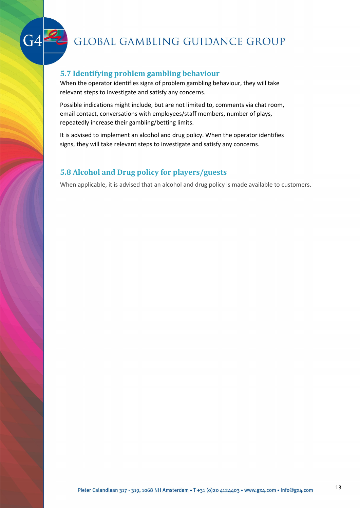

### <span id="page-12-0"></span>**5.7 Identifying problem gambling behaviour**

When the operator identifies signs of problem gambling behaviour, they will take relevant steps to investigate and satisfy any concerns.

Possible indications might include, but are not limited to, comments via chat room, email contact, conversations with employees/staff members, number of plays, repeatedly increase their gambling/betting limits.

It is advised to implement an alcohol and drug policy. When the operator identifies signs, they will take relevant steps to investigate and satisfy any concerns.

## <span id="page-12-1"></span>**5.8 Alcohol and Drug policy for players/guests**

When applicable, it is advised that an alcohol and drug policy is made available to customers.